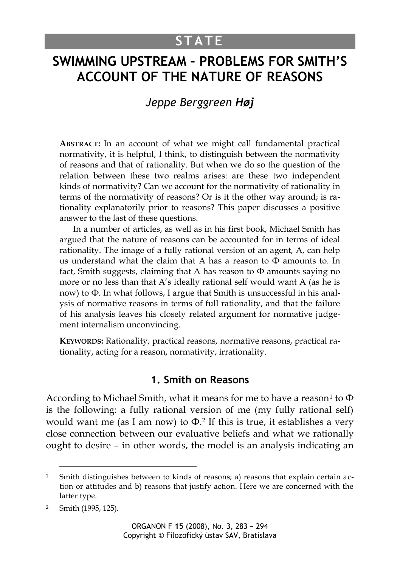# **STATE**

# **SWIMMING UPSTREAM – PROBLEMS FOR SMITH'S ACCOUNT OF THE NATURE OF REASONS**

## *Jeppe Berggreen Høj*

**ABSTRACT:** In an account of what we might call fundamental practical normativity, it is helpful, I think, to distinguish between the normativity of reasons and that of rationality. But when we do so the question of the relation between these two realms arises: are these two independent kinds of normativity? Can we account for the normativity of rationality in terms of the normativity of reasons? Or is it the other way around; is rationality explanatorily prior to reasons? This paper discusses a positive answer to the last of these questions.

In a number of articles, as well as in his first book, Michael Smith has argued that the nature of reasons can be accounted for in terms of ideal rationality. The image of a fully rational version of an agent, A, can help us understand what the claim that A has a reason to  $\Phi$  amounts to. In fact, Smith suggests, claiming that A has reason to  $\Phi$  amounts saying no more or no less than that A's ideally rational self would want A (as he is now) to Ф. In what follows, I argue that Smith is unsuccessful in his analysis of normative reasons in terms of full rationality, and that the failure of his analysis leaves his closely related argument for normative judgement internalism unconvincing.

**KEYWORDS:** Rationality, practical reasons, normative reasons, practical rationality, acting for a reason, normativity, irrationality.

### **1. Smith on Reasons**

According to Michael Smith, what it means for me to have a reason<sup>1</sup> to  $\Phi$ is the following: a fully rational version of me (my fully rational self) would want me (as I am now) to  $\Phi$ .<sup>2</sup> If this is true, it establishes a very close connection between our evaluative beliefs and what we rationally ought to desire – in other words, the model is an analysis indicating an

Smith distinguishes between to kinds of reasons; a) reasons that explain certain action or attitudes and b) reasons that justify action. Here we are concerned with the latter type.

<sup>2</sup> Smith (1995, 125).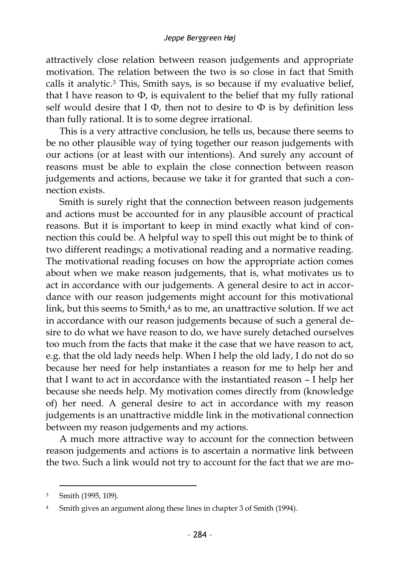attractively close relation between reason judgements and appropriate motivation. The relation between the two is so close in fact that Smith calls it analytic.<sup>3</sup> This, Smith says, is so because if my evaluative belief, that I have reason to  $\Phi$ , is equivalent to the belief that my fully rational self would desire that  $I \Phi$ , then not to desire to  $\Phi$  is by definition less than fully rational. It is to some degree irrational.

This is a very attractive conclusion, he tells us, because there seems to be no other plausible way of tying together our reason judgements with our actions (or at least with our intentions). And surely any account of reasons must be able to explain the close connection between reason judgements and actions, because we take it for granted that such a connection exists.

Smith is surely right that the connection between reason judgements and actions must be accounted for in any plausible account of practical reasons. But it is important to keep in mind exactly what kind of connection this could be. A helpful way to spell this out might be to think of two different readings; a motivational reading and a normative reading. The motivational reading focuses on how the appropriate action comes about when we make reason judgements, that is, what motivates us to act in accordance with our judgements. A general desire to act in accordance with our reason judgements might account for this motivational link, but this seems to Smith, <sup>4</sup> as to me, an unattractive solution. If we act in accordance with our reason judgements because of such a general desire to do what we have reason to do, we have surely detached ourselves too much from the facts that make it the case that we have reason to act, e.g. that the old lady needs help. When I help the old lady, I do not do so because her need for help instantiates a reason for me to help her and that I want to act in accordance with the instantiated reason – I help her because she needs help. My motivation comes directly from (knowledge of) her need. A general desire to act in accordance with my reason judgements is an unattractive middle link in the motivational connection between my reason judgements and my actions.

A much more attractive way to account for the connection between reason judgements and actions is to ascertain a normative link between the two. Such a link would not try to account for the fact that we are mo-

<sup>3</sup> Smith (1995, 109).

<sup>&</sup>lt;sup>4</sup> Smith gives an argument along these lines in chapter 3 of Smith (1994).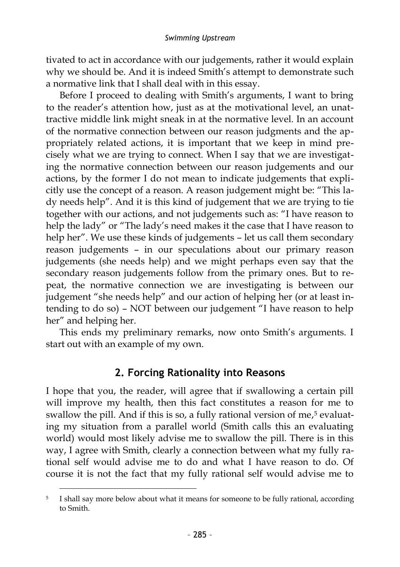tivated to act in accordance with our judgements, rather it would explain why we should be. And it is indeed Smith's attempt to demonstrate such a normative link that I shall deal with in this essay.

Before I proceed to dealing with Smith's arguments, I want to bring to the reader's attention how, just as at the motivational level, an unattractive middle link might sneak in at the normative level. In an account of the normative connection between our reason judgments and the appropriately related actions, it is important that we keep in mind precisely what we are trying to connect. When I say that we are investigating the normative connection between our reason judgements and our actions, by the former I do not mean to indicate judgements that explicitly use the concept of a reason. A reason judgement might be: "This lady needs help". And it is this kind of judgement that we are trying to tie together with our actions, and not judgements such as: "I have reason to help the lady" or "The lady's need makes it the case that I have reason to help her". We use these kinds of judgements – let us call them secondary reason judgements – in our speculations about our primary reason judgements (she needs help) and we might perhaps even say that the secondary reason judgements follow from the primary ones. But to repeat, the normative connection we are investigating is between our judgement "she needs help" and our action of helping her (or at least intending to do so) – NOT between our judgement "I have reason to help her" and helping her.

This ends my preliminary remarks, now onto Smith's arguments. I start out with an example of my own.

### **2. Forcing Rationality into Reasons**

I hope that you, the reader, will agree that if swallowing a certain pill will improve my health, then this fact constitutes a reason for me to swallow the pill. And if this is so, a fully rational version of me, <sup>5</sup> evaluating my situation from a parallel world (Smith calls this an evaluating world) would most likely advise me to swallow the pill. There is in this way, I agree with Smith, clearly a connection between what my fully rational self would advise me to do and what I have reason to do. Of course it is not the fact that my fully rational self would advise me to

<sup>5</sup> I shall say more below about what it means for someone to be fully rational, according to Smith.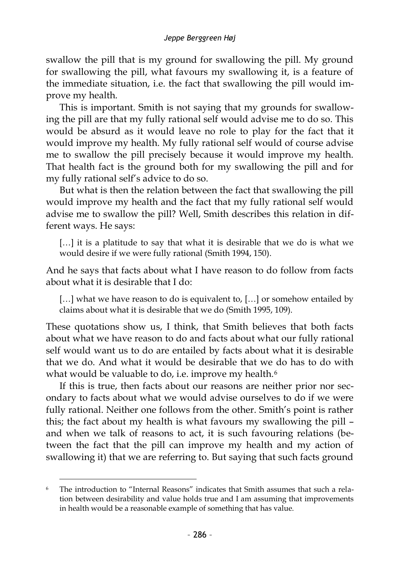swallow the pill that is my ground for swallowing the pill. My ground for swallowing the pill, what favours my swallowing it, is a feature of the immediate situation, i.e. the fact that swallowing the pill would improve my health.

This is important. Smith is not saying that my grounds for swallowing the pill are that my fully rational self would advise me to do so. This would be absurd as it would leave no role to play for the fact that it would improve my health. My fully rational self would of course advise me to swallow the pill precisely because it would improve my health. That health fact is the ground both for my swallowing the pill and for my fully rational self's advice to do so.

But what is then the relation between the fact that swallowing the pill would improve my health and the fact that my fully rational self would advise me to swallow the pill? Well, Smith describes this relation in different ways. He says:

[...] it is a platitude to say that what it is desirable that we do is what we would desire if we were fully rational (Smith 1994, 150).

And he says that facts about what I have reason to do follow from facts about what it is desirable that I do:

[...] what we have reason to do is equivalent to, [...] or somehow entailed by claims about what it is desirable that we do (Smith 1995, 109).

These quotations show us, I think, that Smith believes that both facts about what we have reason to do and facts about what our fully rational self would want us to do are entailed by facts about what it is desirable that we do. And what it would be desirable that we do has to do with what would be valuable to do, i.e. improve my health.<sup>6</sup>

If this is true, then facts about our reasons are neither prior nor secondary to facts about what we would advise ourselves to do if we were fully rational. Neither one follows from the other. Smith's point is rather this; the fact about my health is what favours my swallowing the pill – and when we talk of reasons to act, it is such favouring relations (between the fact that the pill can improve my health and my action of swallowing it) that we are referring to. But saying that such facts ground

<sup>6</sup> The introduction to "Internal Reasons" indicates that Smith assumes that such a relation between desirability and value holds true and I am assuming that improvements in health would be a reasonable example of something that has value.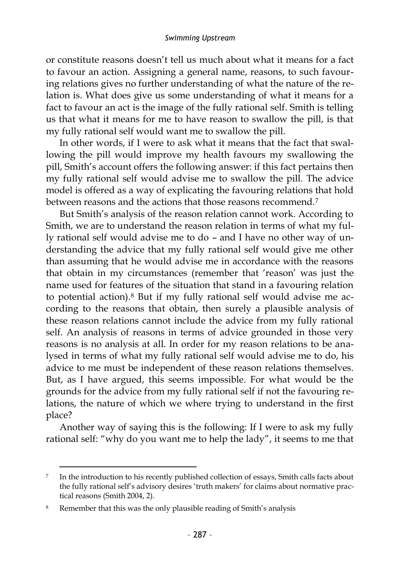or constitute reasons doesn't tell us much about what it means for a fact to favour an action. Assigning a general name, reasons, to such favouring relations gives no further understanding of what the nature of the relation is. What does give us some understanding of what it means for a fact to favour an act is the image of the fully rational self. Smith is telling us that what it means for me to have reason to swallow the pill, is that my fully rational self would want me to swallow the pill.

In other words, if I were to ask what it means that the fact that swallowing the pill would improve my health favours my swallowing the pill, Smith's account offers the following answer: if this fact pertains then my fully rational self would advise me to swallow the pill. The advice model is offered as a way of explicating the favouring relations that hold between reasons and the actions that those reasons recommend.<sup>7</sup>

But Smith's analysis of the reason relation cannot work. According to Smith, we are to understand the reason relation in terms of what my fully rational self would advise me to do – and I have no other way of understanding the advice that my fully rational self would give me other than assuming that he would advise me in accordance with the reasons that obtain in my circumstances (remember that 'reason' was just the name used for features of the situation that stand in a favouring relation to potential action).<sup>8</sup> But if my fully rational self would advise me according to the reasons that obtain, then surely a plausible analysis of these reason relations cannot include the advice from my fully rational self. An analysis of reasons in terms of advice grounded in those very reasons is no analysis at all. In order for my reason relations to be analysed in terms of what my fully rational self would advise me to do, his advice to me must be independent of these reason relations themselves. But, as I have argued, this seems impossible. For what would be the grounds for the advice from my fully rational self if not the favouring relations, the nature of which we where trying to understand in the first place?

Another way of saying this is the following: If I were to ask my fully rational self: "why do you want me to help the lady", it seems to me that

<sup>7</sup> In the introduction to his recently published collection of essays, Smith calls facts about the fully rational self's advisory desires 'truth makers' for claims about normative practical reasons (Smith 2004, 2).

<sup>8</sup> Remember that this was the only plausible reading of Smith's analysis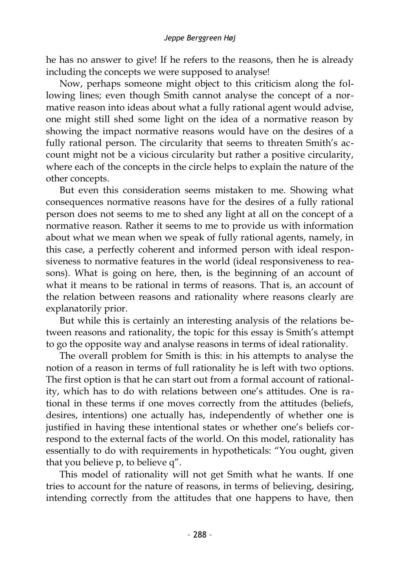he has no answer to give! If he refers to the reasons, then he is already including the concepts we were supposed to analyse!

Now, perhaps someone might object to this criticism along the following lines; even though Smith cannot analyse the concept of a normative reason into ideas about what a fully rational agent would advise, one might still shed some light on the idea of a normative reason by showing the impact normative reasons would have on the desires of a fully rational person. The circularity that seems to threaten Smith's account might not be a vicious circularity but rather a positive circularity, where each of the concepts in the circle helps to explain the nature of the other concepts.

But even this consideration seems mistaken to me. Showing what consequences normative reasons have for the desires of a fully rational person does not seems to me to shed any light at all on the concept of a normative reason. Rather it seems to me to provide us with information about what we mean when we speak of fully rational agents, namely, in this case, a perfectly coherent and informed person with ideal responsiveness to normative features in the world (ideal responsiveness to reasons). What is going on here, then, is the beginning of an account of what it means to be rational in terms of reasons. That is, an account of the relation between reasons and rationality where reasons clearly are explanatorily prior.

But while this is certainly an interesting analysis of the relations between reasons and rationality, the topic for this essay is Smith's attempt to go the opposite way and analyse reasons in terms of ideal rationality.

The overall problem for Smith is this: in his attempts to analyse the notion of a reason in terms of full rationality he is left with two options. The first option is that he can start out from a formal account of rationality, which has to do with relations between one's attitudes. One is rational in these terms if one moves correctly from the attitudes (beliefs, desires, intentions) one actually has, independently of whether one is justified in having these intentional states or whether one's beliefs correspond to the external facts of the world. On this model, rationality has essentially to do with requirements in hypotheticals: "You ought, given that you believe p, to believe q".

This model of rationality will not get Smith what he wants. If one tries to account for the nature of reasons, in terms of believing, desiring, intending correctly from the attitudes that one happens to have, then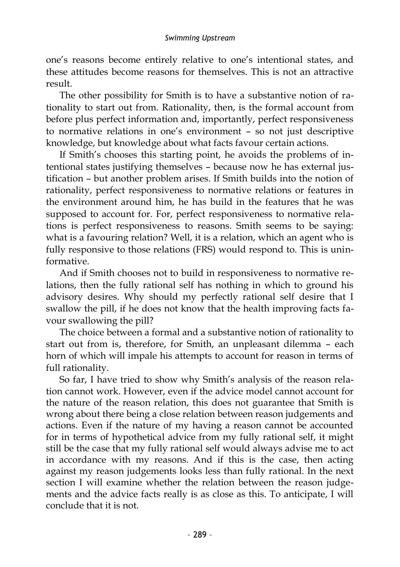one's reasons become entirely relative to one's intentional states, and these attitudes become reasons for themselves. This is not an attractive result.

The other possibility for Smith is to have a substantive notion of rationality to start out from. Rationality, then, is the formal account from before plus perfect information and, importantly, perfect responsiveness to normative relations in one's environment – so not just descriptive knowledge, but knowledge about what facts favour certain actions.

If Smith's chooses this starting point, he avoids the problems of intentional states justifying themselves – because now he has external justification – but another problem arises. If Smith builds into the notion of rationality, perfect responsiveness to normative relations or features in the environment around him, he has build in the features that he was supposed to account for. For, perfect responsiveness to normative relations is perfect responsiveness to reasons. Smith seems to be saying: what is a favouring relation? Well, it is a relation, which an agent who is fully responsive to those relations (FRS) would respond to. This is uninformative.

And if Smith chooses not to build in responsiveness to normative relations, then the fully rational self has nothing in which to ground his advisory desires. Why should my perfectly rational self desire that I swallow the pill, if he does not know that the health improving facts favour swallowing the pill?

The choice between a formal and a substantive notion of rationality to start out from is, therefore, for Smith, an unpleasant dilemma – each horn of which will impale his attempts to account for reason in terms of full rationality.

So far, I have tried to show why Smith's analysis of the reason relation cannot work. However, even if the advice model cannot account for the nature of the reason relation, this does not guarantee that Smith is wrong about there being a close relation between reason judgements and actions. Even if the nature of my having a reason cannot be accounted for in terms of hypothetical advice from my fully rational self, it might still be the case that my fully rational self would always advise me to act in accordance with my reasons. And if this is the case, then acting against my reason judgements looks less than fully rational. In the next section I will examine whether the relation between the reason judgements and the advice facts really is as close as this. To anticipate, I will conclude that it is not.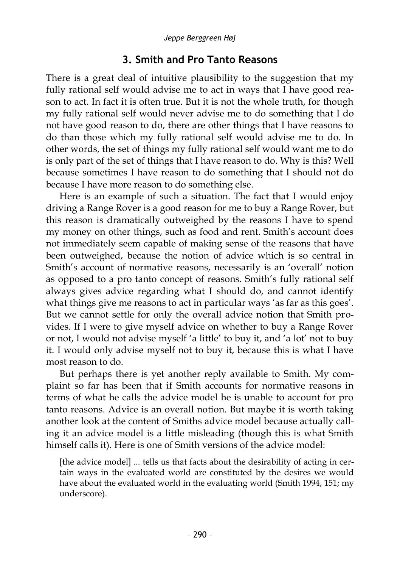## **3. Smith and Pro Tanto Reasons**

There is a great deal of intuitive plausibility to the suggestion that my fully rational self would advise me to act in ways that I have good reason to act. In fact it is often true. But it is not the whole truth, for though my fully rational self would never advise me to do something that I do not have good reason to do, there are other things that I have reasons to do than those which my fully rational self would advise me to do. In other words, the set of things my fully rational self would want me to do is only part of the set of things that I have reason to do. Why is this? Well because sometimes I have reason to do something that I should not do because I have more reason to do something else.

Here is an example of such a situation. The fact that I would enjoy driving a Range Rover is a good reason for me to buy a Range Rover, but this reason is dramatically outweighed by the reasons I have to spend my money on other things, such as food and rent. Smith's account does not immediately seem capable of making sense of the reasons that have been outweighed, because the notion of advice which is so central in Smith's account of normative reasons, necessarily is an 'overall' notion as opposed to a pro tanto concept of reasons. Smith's fully rational self always gives advice regarding what I should do, and cannot identify what things give me reasons to act in particular ways 'as far as this goes'. But we cannot settle for only the overall advice notion that Smith provides. If I were to give myself advice on whether to buy a Range Rover or not, I would not advise myself 'a little' to buy it, and 'a lot' not to buy it. I would only advise myself not to buy it, because this is what I have most reason to do.

But perhaps there is yet another reply available to Smith. My complaint so far has been that if Smith accounts for normative reasons in terms of what he calls the advice model he is unable to account for pro tanto reasons. Advice is an overall notion. But maybe it is worth taking another look at the content of Smiths advice model because actually calling it an advice model is a little misleading (though this is what Smith himself calls it). Here is one of Smith versions of the advice model:

[the advice model] ... tells us that facts about the desirability of acting in certain ways in the evaluated world are constituted by the desires we would have about the evaluated world in the evaluating world (Smith 1994, 151; my underscore).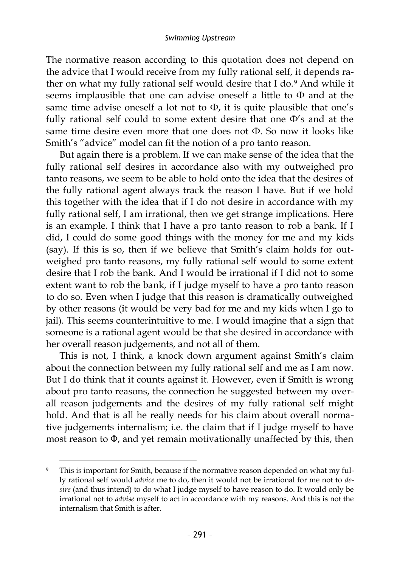The normative reason according to this quotation does not depend on the advice that I would receive from my fully rational self, it depends rather on what my fully rational self would desire that I do.<sup>9</sup> And while it seems implausible that one can advise oneself a little to Ф and at the same time advise oneself a lot not to  $\Phi$ , it is quite plausible that one's fully rational self could to some extent desire that one Ф's and at the same time desire even more that one does not Ф. So now it looks like Smith's "advice" model can fit the notion of a pro tanto reason.

But again there is a problem. If we can make sense of the idea that the fully rational self desires in accordance also with my outweighed pro tanto reasons, we seem to be able to hold onto the idea that the desires of the fully rational agent always track the reason I have. But if we hold this together with the idea that if I do not desire in accordance with my fully rational self, I am irrational, then we get strange implications. Here is an example. I think that I have a pro tanto reason to rob a bank. If I did, I could do some good things with the money for me and my kids (say). If this is so, then if we believe that Smith's claim holds for outweighed pro tanto reasons, my fully rational self would to some extent desire that I rob the bank. And I would be irrational if I did not to some extent want to rob the bank, if I judge myself to have a pro tanto reason to do so. Even when I judge that this reason is dramatically outweighed by other reasons (it would be very bad for me and my kids when I go to jail). This seems counterintuitive to me. I would imagine that a sign that someone is a rational agent would be that she desired in accordance with her overall reason judgements, and not all of them.

This is not, I think, a knock down argument against Smith's claim about the connection between my fully rational self and me as I am now. But I do think that it counts against it. However, even if Smith is wrong about pro tanto reasons, the connection he suggested between my overall reason judgements and the desires of my fully rational self might hold. And that is all he really needs for his claim about overall normative judgements internalism; i.e. the claim that if I judge myself to have most reason to Φ, and yet remain motivationally unaffected by this, then

This is important for Smith, because if the normative reason depended on what my fully rational self would *advice* me to do, then it would not be irrational for me not to *desire* (and thus intend) to do what I judge myself to have reason to do. It would only be irrational not to *advise* myself to act in accordance with my reasons. And this is not the internalism that Smith is after.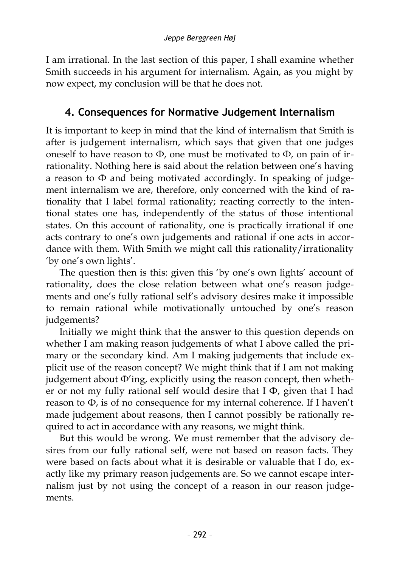I am irrational. In the last section of this paper, I shall examine whether Smith succeeds in his argument for internalism. Again, as you might by now expect, my conclusion will be that he does not.

# **4. Consequences for Normative Judgement Internalism**

It is important to keep in mind that the kind of internalism that Smith is after is judgement internalism, which says that given that one judges oneself to have reason to  $\Phi$ , one must be motivated to  $\Phi$ , on pain of irrationality. Nothing here is said about the relation between one's having a reason to Ф and being motivated accordingly. In speaking of judgement internalism we are, therefore, only concerned with the kind of rationality that I label formal rationality; reacting correctly to the intentional states one has, independently of the status of those intentional states. On this account of rationality, one is practically irrational if one acts contrary to one's own judgements and rational if one acts in accordance with them. With Smith we might call this rationality/irrationality 'by one's own lights'.

The question then is this: given this 'by one's own lights' account of rationality, does the close relation between what one's reason judgements and one's fully rational self's advisory desires make it impossible to remain rational while motivationally untouched by one's reason judgements?

Initially we might think that the answer to this question depends on whether I am making reason judgements of what I above called the primary or the secondary kind. Am I making judgements that include explicit use of the reason concept? We might think that if I am not making judgement about Ф'ing, explicitly using the reason concept, then whether or not my fully rational self would desire that I Ф, given that I had reason to Ф, is of no consequence for my internal coherence. If I haven't made judgement about reasons, then I cannot possibly be rationally required to act in accordance with any reasons, we might think.

But this would be wrong. We must remember that the advisory desires from our fully rational self, were not based on reason facts. They were based on facts about what it is desirable or valuable that I do, exactly like my primary reason judgements are. So we cannot escape internalism just by not using the concept of a reason in our reason judgements.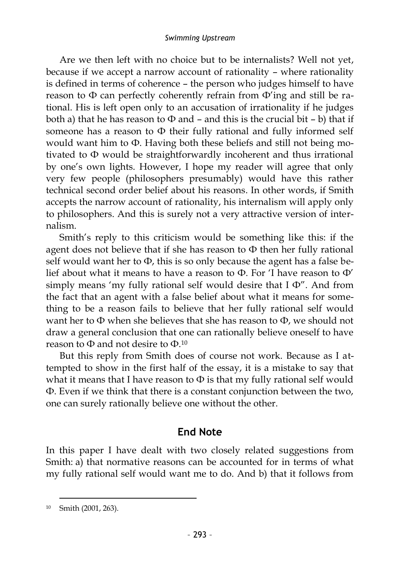Are we then left with no choice but to be internalists? Well not yet, because if we accept a narrow account of rationality – where rationality is defined in terms of coherence – the person who judges himself to have reason to  $\Phi$  can perfectly coherently refrain from  $\Phi'$ ing and still be rational. His is left open only to an accusation of irrationality if he judges both a) that he has reason to  $\Phi$  and – and this is the crucial bit – b) that if someone has a reason to Ф their fully rational and fully informed self would want him to Ф. Having both these beliefs and still not being motivated to Ф would be straightforwardly incoherent and thus irrational by one's own lights. However, I hope my reader will agree that only very few people (philosophers presumably) would have this rather technical second order belief about his reasons. In other words, if Smith accepts the narrow account of rationality, his internalism will apply only to philosophers. And this is surely not a very attractive version of internalism.

Smith's reply to this criticism would be something like this: if the agent does not believe that if she has reason to  $\Phi$  then her fully rational self would want her to  $\Phi$ , this is so only because the agent has a false belief about what it means to have a reason to Ф. For 'I have reason to Ф' simply means 'my fully rational self would desire that I Ф". And from the fact that an agent with a false belief about what it means for something to be a reason fails to believe that her fully rational self would want her to Ф when she believes that she has reason to Ф, we should not draw a general conclusion that one can rationally believe oneself to have reason to  $\Phi$  and not desire to  $\Phi$  10

But this reply from Smith does of course not work. Because as I attempted to show in the first half of the essay, it is a mistake to say that what it means that I have reason to Ф is that my fully rational self would Ф. Even if we think that there is a constant conjunction between the two, one can surely rationally believe one without the other.

### **End Note**

In this paper I have dealt with two closely related suggestions from Smith: a) that normative reasons can be accounted for in terms of what my fully rational self would want me to do. And b) that it follows from

<sup>10</sup> Smith (2001, 263).